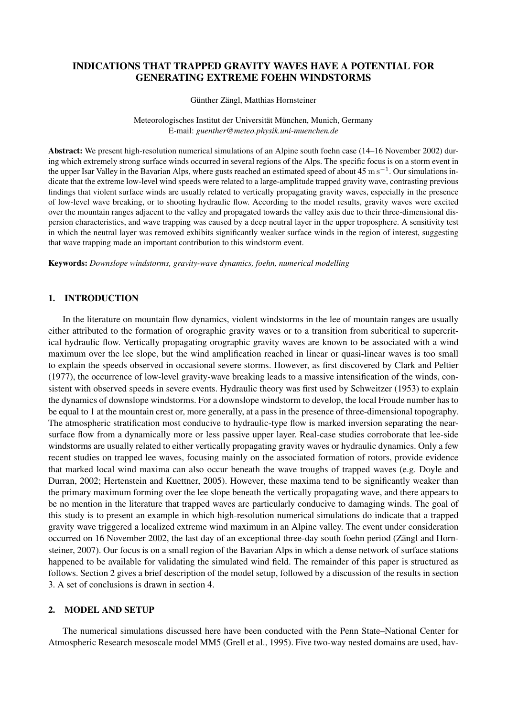# INDICATIONS THAT TRAPPED GRAVITY WAVES HAVE A POTENTIAL FOR GENERATING EXTREME FOEHN WINDSTORMS

Günther Zängl, Matthias Hornsteiner

Meteorologisches Institut der Universität München, Munich, Germany E-mail: *guenther@meteo.physik.uni-muenchen.de*

Abstract: We present high-resolution numerical simulations of an Alpine south foehn case (14–16 November 2002) during which extremely strong surface winds occurred in several regions of the Alps. The specific focus is on a storm event in the upper Isar Valley in the Bavarian Alps, where gusts reached an estimated speed of about 45 m s<sup>-1</sup>. Our simulations indicate that the extreme low-level wind speeds were related to a large-amplitude trapped gravity wave, contrasting previous findings that violent surface winds are usually related to vertically propagating gravity waves, especially in the presence of low-level wave breaking, or to shooting hydraulic flow. According to the model results, gravity waves were excited over the mountain ranges adjacent to the valley and propagated towards the valley axis due to their three-dimensional dispersion characteristics, and wave trapping was caused by a deep neutral layer in the upper troposphere. A sensitivity test in which the neutral layer was removed exhibits significantly weaker surface winds in the region of interest, suggesting that wave trapping made an important contribution to this windstorm event.

Keywords: *Downslope windstorms, gravity-wave dynamics, foehn, numerical modelling*

### 1. INTRODUCTION

In the literature on mountain flow dynamics, violent windstorms in the lee of mountain ranges are usually either attributed to the formation of orographic gravity waves or to a transition from subcritical to supercritical hydraulic flow. Vertically propagating orographic gravity waves are known to be associated with a wind maximum over the lee slope, but the wind amplification reached in linear or quasi-linear waves is too small to explain the speeds observed in occasional severe storms. However, as first discovered by Clark and Peltier (1977), the occurrence of low-level gravity-wave breaking leads to a massive intensification of the winds, consistent with observed speeds in severe events. Hydraulic theory was first used by Schweitzer (1953) to explain the dynamics of downslope windstorms. For a downslope windstorm to develop, the local Froude number has to be equal to 1 at the mountain crest or, more generally, at a pass in the presence of three-dimensional topography. The atmospheric stratification most conducive to hydraulic-type flow is marked inversion separating the nearsurface flow from a dynamically more or less passive upper layer. Real-case studies corroborate that lee-side windstorms are usually related to either vertically propagating gravity waves or hydraulic dynamics. Only a few recent studies on trapped lee waves, focusing mainly on the associated formation of rotors, provide evidence that marked local wind maxima can also occur beneath the wave troughs of trapped waves (e.g. Doyle and Durran, 2002; Hertenstein and Kuettner, 2005). However, these maxima tend to be significantly weaker than the primary maximum forming over the lee slope beneath the vertically propagating wave, and there appears to be no mention in the literature that trapped waves are particularly conducive to damaging winds. The goal of this study is to present an example in which high-resolution numerical simulations do indicate that a trapped gravity wave triggered a localized extreme wind maximum in an Alpine valley. The event under consideration occurred on 16 November 2002, the last day of an exceptional three-day south foehn period (Zängl and Hornsteiner, 2007). Our focus is on a small region of the Bavarian Alps in which a dense network of surface stations happened to be available for validating the simulated wind field. The remainder of this paper is structured as follows. Section 2 gives a brief description of the model setup, followed by a discussion of the results in section 3. A set of conclusions is drawn in section 4.

### 2. MODEL AND SETUP

The numerical simulations discussed here have been conducted with the Penn State–National Center for Atmospheric Research mesoscale model MM5 (Grell et al., 1995). Five two-way nested domains are used, hav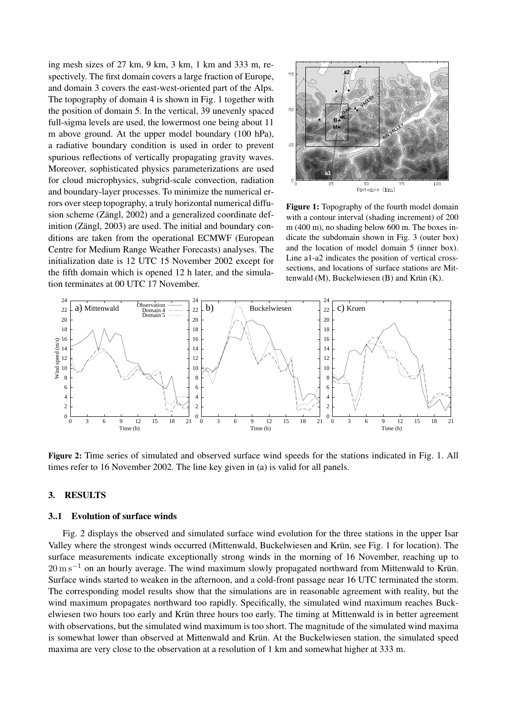ing mesh sizes of 27 km, 9 km, 3 km, 1 km and 333 m, respectively. The first domain covers a large fraction of Europe, and domain 3 covers the east-west-oriented part of the Alps. The topography of domain 4 is shown in Fig. 1 together with the position of domain 5. In the vertical, 39 unevenly spaced full-sigma levels are used, the lowermost one being about 11 m above ground. At the upper model boundary (100 hPa), a radiative boundary condition is used in order to prevent spurious reflections of vertically propagating gravity waves. Moreover, sophisticated physics parameterizations are used for cloud microphysics, subgrid-scale convection, radiation and boundary-layer processes. To minimize the numerical errors over steep topography, a truly horizontal numerical diffusion scheme (Zängl, 2002) and a generalized coordinate definition (Zängl, 2003) are used. The initial and boundary conditions are taken from the operational ECMWF (European Centre for Medium Range Weather Forecasts) analyses. The initialization date is 12 UTC 15 November 2002 except for the fifth domain which is opened 12 h later, and the simulation terminates at 00 UTC 17 November.



Figure 1: Topography of the fourth model domain with a contour interval (shading increment) of 200 m (400 m), no shading below 600 m. The boxes indicate the subdomain shown in Fig. 3 (outer box) and the location of model domain 5 (inner box). Line a1-a2 indicates the position of vertical crosssections, and locations of surface stations are Mittenwald (M), Buckelwiesen (B) and Krün (K).



Figure 2: Time series of simulated and observed surface wind speeds for the stations indicated in Fig. 1. All times refer to 16 November 2002. The line key given in (a) is valid for all panels.

### 3. RESULTS

#### 3..1 Evolution of surface winds

Fig. 2 displays the observed and simulated surface wind evolution for the three stations in the upper Isar Valley where the strongest winds occurred (Mittenwald, Buckelwiesen and Krün, see Fig. 1 for location). The surface measurements indicate exceptionally strong winds in the morning of 16 November, reaching up to  $20 \,\mathrm{m\,s^{-1}}$  on an hourly average. The wind maximum slowly propagated northward from Mittenwald to Krün. Surface winds started to weaken in the afternoon, and a cold-front passage near 16 UTC terminated the storm. The corresponding model results show that the simulations are in reasonable agreement with reality, but the wind maximum propagates northward too rapidly. Specifically, the simulated wind maximum reaches Buckelwiesen two hours too early and Krün three hours too early. The timing at Mittenwald is in better agreement with observations, but the simulated wind maximum is too short. The magnitude of the simulated wind maxima is somewhat lower than observed at Mittenwald and Krün. At the Buckelwiesen station, the simulated speed maxima are very close to the observation at a resolution of 1 km and somewhat higher at 333 m.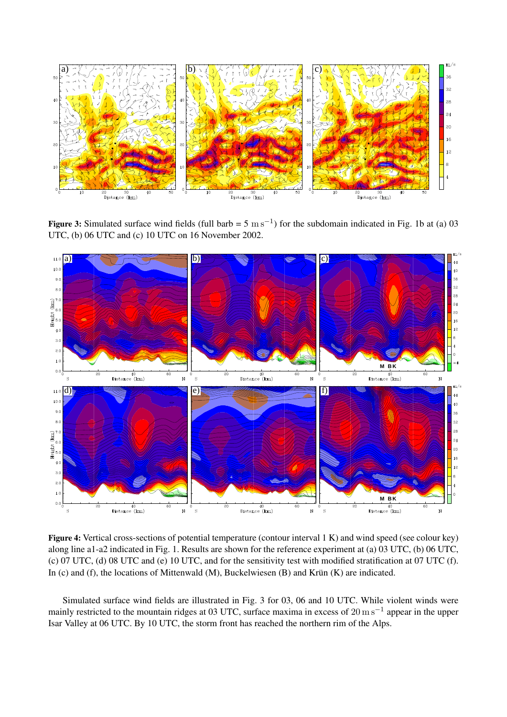

Figure 3: Simulated surface wind fields (full barb =  $5 \text{ m s}^{-1}$ ) for the subdomain indicated in Fig. 1b at (a) 03 UTC, (b) 06 UTC and (c) 10 UTC on 16 November 2002.



Figure 4: Vertical cross-sections of potential temperature (contour interval 1 K) and wind speed (see colour key) along line a1-a2 indicated in Fig. 1. Results are shown for the reference experiment at (a) 03 UTC, (b) 06 UTC, (c) 07 UTC, (d) 08 UTC and (e) 10 UTC, and for the sensitivity test with modified stratification at 07 UTC (f). In (c) and (f), the locations of Mittenwald (M), Buckelwiesen (B) and Krün (K) are indicated.

Simulated surface wind fields are illustrated in Fig. 3 for 03, 06 and 10 UTC. While violent winds were mainly restricted to the mountain ridges at 03 UTC, surface maxima in excess of  $20 \text{ m s}^{-1}$  appear in the upper Isar Valley at 06 UTC. By 10 UTC, the storm front has reached the northern rim of the Alps.